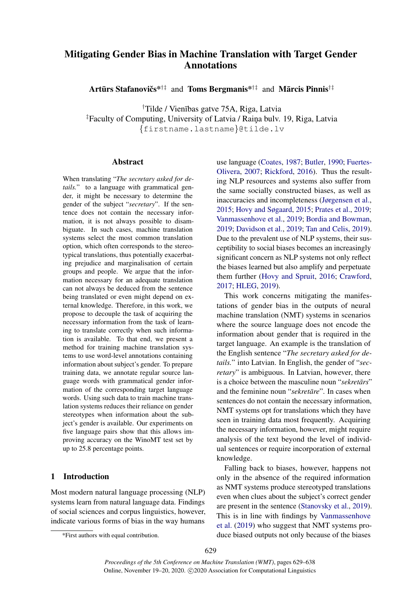# Mitigating Gender Bias in Machine Translation with Target Gender Annotations

Artūrs Stafanovičs\* $^{\dagger\ddagger}$  and Toms Bergmanis\* $^{\dagger\ddagger}$  and Mārcis Pinnis $^{\dagger\ddagger}$ 

†Tilde / Vien¯ıbas gatve 75A, Riga, Latvia <sup>‡</sup>Faculty of Computing, University of Latvia / Raina bulv. 19, Riga, Latvia {firstname.lastname}@tilde.lv

#### Abstract

When translating "*The secretary asked for details.*" to a language with grammatical gender, it might be necessary to determine the gender of the subject "*secretary*". If the sentence does not contain the necessary information, it is not always possible to disambiguate. In such cases, machine translation systems select the most common translation option, which often corresponds to the stereotypical translations, thus potentially exacerbating prejudice and marginalisation of certain groups and people. We argue that the information necessary for an adequate translation can not always be deduced from the sentence being translated or even might depend on external knowledge. Therefore, in this work, we propose to decouple the task of acquiring the necessary information from the task of learning to translate correctly when such information is available. To that end, we present a method for training machine translation systems to use word-level annotations containing information about subject's gender. To prepare training data, we annotate regular source language words with grammatical gender information of the corresponding target language words. Using such data to train machine translation systems reduces their reliance on gender stereotypes when information about the subject's gender is available. Our experiments on five language pairs show that this allows improving accuracy on the WinoMT test set by up to 25.8 percentage points.

## 1 Introduction

Most modern natural language processing (NLP) systems learn from natural language data. Findings of social sciences and corpus linguistics, however, indicate various forms of bias in the way humans

use language [\(Coates,](#page-7-0) [1987;](#page-7-0) [Butler,](#page-7-1) [1990;](#page-7-1) [Fuertes-](#page-7-2)[Olivera,](#page-7-2) [2007;](#page-7-2) [Rickford,](#page-8-0) [2016\)](#page-8-0). Thus the resulting NLP resources and systems also suffer from the same socially constructed biases, as well as inaccuracies and incompleteness [\(Jørgensen et al.,](#page-7-3) [2015;](#page-7-3) [Hovy and Søgaard,](#page-7-4) [2015;](#page-7-4) [Prates et al.,](#page-8-1) [2019;](#page-8-1) [Vanmassenhove et al.,](#page-8-2) [2019;](#page-8-2) [Bordia and Bowman,](#page-6-0) [2019;](#page-6-0) [Davidson et al.,](#page-7-5) [2019;](#page-7-5) [Tan and Celis,](#page-8-3) [2019\)](#page-8-3). Due to the prevalent use of NLP systems, their susceptibility to social biases becomes an increasingly significant concern as NLP systems not only reflect the biases learned but also amplify and perpetuate them further [\(Hovy and Spruit,](#page-7-6) [2016;](#page-7-6) [Crawford,](#page-7-7) [2017;](#page-7-7) [HLEG,](#page-7-8) [2019\)](#page-7-8).

This work concerns mitigating the manifestations of gender bias in the outputs of neural machine translation (NMT) systems in scenarios where the source language does not encode the information about gender that is required in the target language. An example is the translation of the English sentence "*The secretary asked for details.*" into Latvian. In English, the gender of "*secretary*" is ambiguous. In Latvian, however, there is a choice between the masculine noun "sekretars" and the feminine noun "*sekretare*". In cases when sentences do not contain the necessary information, NMT systems opt for translations which they have seen in training data most frequently. Acquiring the necessary information, however, might require analysis of the text beyond the level of individual sentences or require incorporation of external knowledge.

Falling back to biases, however, happens not only in the absence of the required information as NMT systems produce stereotyped translations even when clues about the subject's correct gender are present in the sentence [\(Stanovsky et al.,](#page-8-4) [2019\)](#page-8-4). This is in line with findings by [Vanmassenhove](#page-8-2) [et al.](#page-8-2) [\(2019\)](#page-8-2) who suggest that NMT systems produce biased outputs not only because of the biases

<sup>\*</sup>First authors with equal contribution.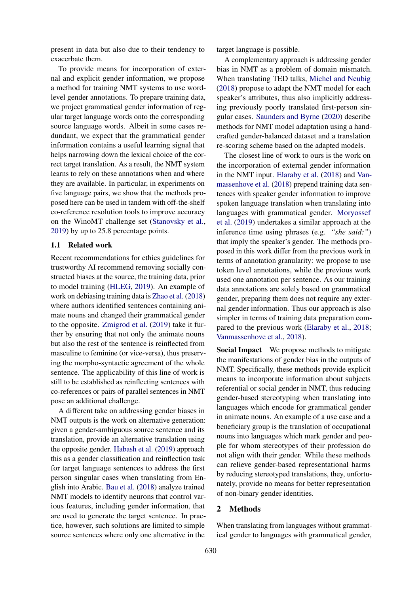present in data but also due to their tendency to exacerbate them.

To provide means for incorporation of external and explicit gender information, we propose a method for training NMT systems to use wordlevel gender annotations. To prepare training data, we project grammatical gender information of regular target language words onto the corresponding source language words. Albeit in some cases redundant, we expect that the grammatical gender information contains a useful learning signal that helps narrowing down the lexical choice of the correct target translation. As a result, the NMT system learns to rely on these annotations when and where they are available. In particular, in experiments on five language pairs, we show that the methods proposed here can be used in tandem with off-the-shelf co-reference resolution tools to improve accuracy on the WinoMT challenge set [\(Stanovsky et al.,](#page-8-4) [2019\)](#page-8-4) by up to 25.8 percentage points.

## 1.1 Related work

Recent recommendations for ethics guidelines for trustworthy AI recommend removing socially constructed biases at the source, the training data, prior to model training [\(HLEG,](#page-7-8) [2019\)](#page-7-8). An example of work on debiasing training data is [Zhao et al.](#page-8-5) [\(2018\)](#page-8-5) where authors identified sentences containing animate nouns and changed their grammatical gender to the opposite. [Zmigrod et al.](#page-9-0) [\(2019\)](#page-9-0) take it further by ensuring that not only the animate nouns but also the rest of the sentence is reinflected from masculine to feminine (or vice-versa), thus preserving the morpho-syntactic agreement of the whole sentence. The applicability of this line of work is still to be established as reinflecting sentences with co-references or pairs of parallel sentences in NMT pose an additional challenge.

A different take on addressing gender biases in NMT outputs is the work on alternative generation: given a gender-ambiguous source sentence and its translation, provide an alternative translation using the opposite gender. [Habash et al.](#page-7-9) [\(2019\)](#page-7-9) approach this as a gender classification and reinflection task for target language sentences to address the first person singular cases when translating from English into Arabic. [Bau et al.](#page-6-1) [\(2018\)](#page-6-1) analyze trained NMT models to identify neurons that control various features, including gender information, that are used to generate the target sentence. In practice, however, such solutions are limited to simple source sentences where only one alternative in the target language is possible.

A complementary approach is addressing gender bias in NMT as a problem of domain mismatch. When translating TED talks, [Michel and Neubig](#page-7-10) [\(2018\)](#page-7-10) propose to adapt the NMT model for each speaker's attributes, thus also implicitly addressing previously poorly translated first-person singular cases. [Saunders and Byrne](#page-8-6) [\(2020\)](#page-8-6) describe methods for NMT model adaptation using a handcrafted gender-balanced dataset and a translation re-scoring scheme based on the adapted models.

The closest line of work to ours is the work on the incorporation of external gender information in the NMT input. [Elaraby et al.](#page-7-11) [\(2018\)](#page-7-11) and [Van](#page-8-7)[massenhove et al.](#page-8-7) [\(2018\)](#page-8-7) prepend training data sentences with speaker gender information to improve spoken language translation when translating into languages with grammatical gender. [Moryossef](#page-7-12) [et al.](#page-7-12) [\(2019\)](#page-7-12) undertakes a similar approach at the inference time using phrases (e.g. *"she said:"*) that imply the speaker's gender. The methods proposed in this work differ from the previous work in terms of annotation granularity: we propose to use token level annotations, while the previous work used one annotation per sentence. As our training data annotations are solely based on grammatical gender, preparing them does not require any external gender information. Thus our approach is also simpler in terms of training data preparation compared to the previous work [\(Elaraby et al.,](#page-7-11) [2018;](#page-7-11) [Vanmassenhove et al.,](#page-8-7) [2018\)](#page-8-7).

Social Impact We propose methods to mitigate the manifestations of gender bias in the outputs of NMT. Specifically, these methods provide explicit means to incorporate information about subjects referential or social gender in NMT, thus reducing gender-based stereotyping when translating into languages which encode for grammatical gender in animate nouns. An example of a use case and a beneficiary group is the translation of occupational nouns into languages which mark gender and people for whom stereotypes of their profession do not align with their gender. While these methods can relieve gender-based representational harms by reducing stereotyped translations, they, unfortunately, provide no means for better representation of non-binary gender identities.

#### 2 Methods

When translating from languages without grammatical gender to languages with grammatical gender,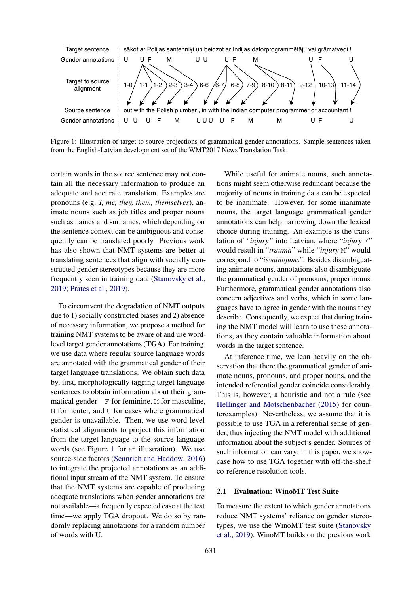<span id="page-2-0"></span>

Figure 1: Illustration of target to source projections of grammatical gender annotations. Sample sentences taken from the English-Latvian development set of the WMT2017 News Translation Task.

certain words in the source sentence may not contain all the necessary information to produce an adequate and accurate translation. Examples are pronouns (e.g. *I, me, they, them, themselves*), animate nouns such as job titles and proper nouns such as names and surnames, which depending on the sentence context can be ambiguous and consequently can be translated poorly. Previous work has also shown that NMT systems are better at translating sentences that align with socially constructed gender stereotypes because they are more frequently seen in training data [\(Stanovsky et al.,](#page-8-4) [2019;](#page-8-4) [Prates et al.,](#page-8-1) [2019\)](#page-8-1).

To circumvent the degradation of NMT outputs due to 1) socially constructed biases and 2) absence of necessary information, we propose a method for training NMT systems to be aware of and use wordlevel target gender annotations (TGA). For training, we use data where regular source language words are annotated with the grammatical gender of their target language translations. We obtain such data by, first, morphologically tagging target language sentences to obtain information about their grammatical gender—F for feminine, M for masculine, N for neuter, and U for cases where grammatical gender is unavailable. Then, we use word-level statistical alignments to project this information from the target language to the source language words (see Figure [1](#page-2-0) for an illustration). We use source-side factors [\(Sennrich and Haddow,](#page-8-8) [2016\)](#page-8-8) to integrate the projected annotations as an additional input stream of the NMT system. To ensure that the NMT systems are capable of producing adequate translations when gender annotations are not available—a frequently expected case at the test time—we apply TGA dropout. We do so by randomly replacing annotations for a random number of words with U.

While useful for animate nouns, such annotations might seem otherwise redundant because the majority of nouns in training data can be expected to be inanimate. However, for some inanimate nouns, the target language grammatical gender annotations can help narrowing down the lexical choice during training. An example is the translation of *"injury"* into Latvian, where "*injury*|F" would result in "*trauma*" while "*injury*|M" would correspond to "*ievainojums*". Besides disambiguating animate nouns, annotations also disambiguate the grammatical gender of pronouns, proper nouns. Furthermore, grammatical gender annotations also concern adjectives and verbs, which in some languages have to agree in gender with the nouns they describe. Consequently, we expect that during training the NMT model will learn to use these annotations, as they contain valuable information about words in the target sentence.

At inference time, we lean heavily on the observation that there the grammatical gender of animate nouns, pronouns, and proper nouns, and the intended referential gender coincide considerably. This is, however, a heuristic and not a rule (see [Hellinger and Motschenbacher](#page-7-13) [\(2015\)](#page-7-13) for counterexamples). Nevertheless, we assume that it is possible to use TGA in a referential sense of gender, thus injecting the NMT model with additional information about the subject's gender. Sources of such information can vary; in this paper, we showcase how to use TGA together with off-the-shelf co-reference resolution tools.

#### 2.1 Evaluation: WinoMT Test Suite

To measure the extent to which gender annotations reduce NMT systems' reliance on gender stereotypes, we use the WinoMT test suite [\(Stanovsky](#page-8-4) [et al.,](#page-8-4) [2019\)](#page-8-4). WinoMT builds on the previous work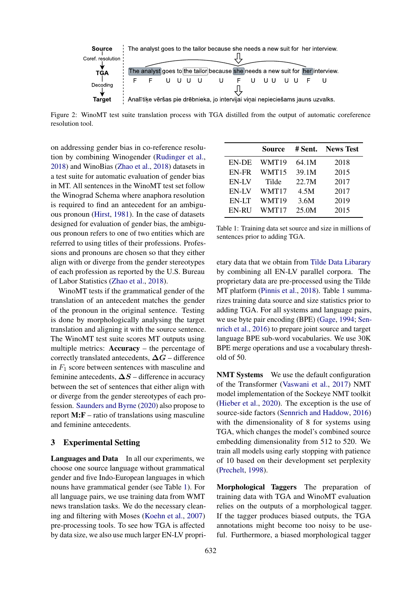<span id="page-3-1"></span>

Figure 2: WinoMT test suite translation process with TGA distilled from the output of automatic coreference resolution tool.

on addressing gender bias in co-reference resolution by combining Winogender [\(Rudinger et al.,](#page-8-9) [2018\)](#page-8-9) and WinoBias [\(Zhao et al.,](#page-8-5) [2018\)](#page-8-5) datasets in a test suite for automatic evaluation of gender bias in MT. All sentences in the WinoMT test set follow the Winograd Schema where anaphora resolution is required to find an antecedent for an ambiguous pronoun [\(Hirst,](#page-7-14) [1981\)](#page-7-14). In the case of datasets designed for evaluation of gender bias, the ambiguous pronoun refers to one of two entities which are referred to using titles of their professions. Professions and pronouns are chosen so that they either align with or diverge from the gender stereotypes of each profession as reported by the U.S. Bureau of Labor Statistics [\(Zhao et al.,](#page-8-5) [2018\)](#page-8-5).

WinoMT tests if the grammatical gender of the translation of an antecedent matches the gender of the pronoun in the original sentence. Testing is done by morphologically analysing the target translation and aligning it with the source sentence. The WinoMT test suite scores MT outputs using multiple metrics: **Accuracy** – the percentage of correctly translated antecedents,  $\Delta G$  – difference in  $F_1$  score between sentences with masculine and feminine antecedents,  $\Delta S$  – difference in accuracy between the set of sentences that either align with or diverge from the gender stereotypes of each profession. [Saunders and Byrne](#page-8-6) [\(2020\)](#page-8-6) also propose to report  $M$ : $F$  – ratio of translations using masculine and feminine antecedents.

## 3 Experimental Setting

Languages and Data In all our experiments, we choose one source language without grammatical gender and five Indo-European languages in which nouns have grammatical gender (see Table [1\)](#page-3-0). For all language pairs, we use training data from WMT news translation tasks. We do the necessary cleaning and filtering with Moses [\(Koehn et al.,](#page-7-15) [2007\)](#page-7-15) pre-processing tools. To see how TGA is affected by data size, we also use much larger EN-LV propri-

<span id="page-3-0"></span>

|              | Source | # Sent. | <b>News</b> Test |
|--------------|--------|---------|------------------|
| EN-DE        | WMT19  | 64.1M   | 2018             |
| EN-FR        | WMT15  | 39.1M   | 2015             |
| <b>EN-LV</b> | Tilde  | 22.7M   | 2017             |
| <b>EN-LV</b> | WMT17  | 4.5M    | 2017             |
| EN-LT        | WMT19  | 3.6M    | 2019             |
| <b>EN-RU</b> | WMT17  | 25.0M   | 2015             |

Table 1: Training data set source and size in millions of sentences prior to adding TGA.

etary data that we obtain from [Tilde Data Libarary](https://www.tilde.com/products-and-services/data-library) by combining all EN-LV parallel corpora. The proprietary data are pre-processed using the Tilde MT platform [\(Pinnis et al.,](#page-8-10) [2018\)](#page-8-10). Table [1](#page-3-0) summarizes training data source and size statistics prior to adding TGA. For all systems and language pairs, we use byte pair encoding (BPE) [\(Gage,](#page-7-16) [1994;](#page-7-16) [Sen](#page-8-11)[nrich et al.,](#page-8-11) [2016\)](#page-8-11) to prepare joint source and target language BPE sub-word vocabularies. We use 30K BPE merge operations and use a vocabulary threshold of 50.

NMT Systems We use the default configuration of the Transformer [\(Vaswani et al.,](#page-8-12) [2017\)](#page-8-12) NMT model implementation of the Sockeye NMT toolkit [\(Hieber et al.,](#page-7-17) [2020\)](#page-7-17). The exception is the use of source-side factors [\(Sennrich and Haddow,](#page-8-8) [2016\)](#page-8-8) with the dimensionality of 8 for systems using TGA, which changes the model's combined source embedding dimensionality from 512 to 520. We train all models using early stopping with patience of 10 based on their development set perplexity [\(Prechelt,](#page-8-13) [1998\)](#page-8-13).

Morphological Taggers The preparation of training data with TGA and WinoMT evaluation relies on the outputs of a morphological tagger. If the tagger produces biased outputs, the TGA annotations might become too noisy to be useful. Furthermore, a biased morphological tagger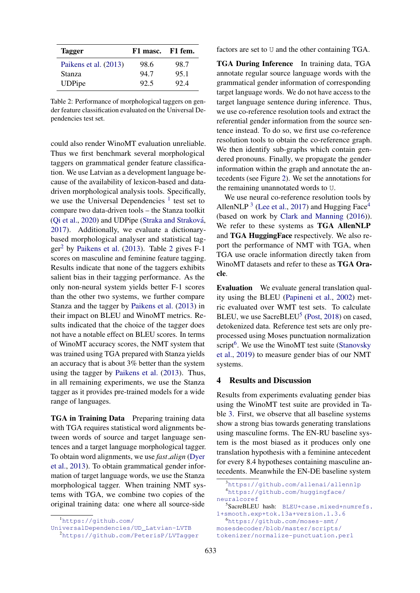<span id="page-4-2"></span>

| <b>Tagger</b>         | F1 masc. F1 fem. |      |  |
|-----------------------|------------------|------|--|
| Paikens et al. (2013) | 98.6             | 98.7 |  |
| Stanza                | 94.7             | 95.1 |  |
| <b>UDPipe</b>         | 92.5             | 92.4 |  |

Table 2: Performance of morphological taggers on gender feature classification evaluated on the Universal Dependencies test set.

could also render WinoMT evaluation unreliable. Thus we first benchmark several morphological taggers on grammatical gender feature classification. We use Latvian as a development language because of the availability of lexicon-based and datadriven morphological analysis tools. Specifically, we use the Universal Dependencies  $1$  test set to compare two data-driven tools – the Stanza toolkit [\(Qi et al.,](#page-8-14) [2020\)](#page-8-14) and UDPipe (Straka and Straková, [2017\)](#page-8-15). Additionally, we evaluate a dictionarybased morphological analyser and statistical tag- $ger<sup>2</sup>$  $ger<sup>2</sup>$  $ger<sup>2</sup>$  by [Paikens et al.](#page-7-18) [\(2013\)](#page-7-18). Table 2 gives F-1 scores on masculine and feminine feature tagging. Results indicate that none of the taggers exhibits salient bias in their tagging performance. As the only non-neural system yields better F-1 scores than the other two systems, we further compare Stanza and the tagger by [Paikens et al.](#page-7-18) [\(2013\)](#page-7-18) in their impact on BLEU and WinoMT metrics. Results indicated that the choice of the tagger does not have a notable effect on BLEU scores. In terms of WinoMT accuracy scores, the NMT system that was trained using TGA prepared with Stanza yields an accuracy that is about 3% better than the system using the tagger by [Paikens et al.](#page-7-18) [\(2013\)](#page-7-18). Thus, in all remaining experiments, we use the Stanza tagger as it provides pre-trained models for a wide range of languages.

TGA in Training Data Preparing training data with TGA requires statistical word alignments between words of source and target language sentences and a target language morphological tagger. To obtain word alignments, we use *fast align* [\(Dyer](#page-7-19) [et al.,](#page-7-19) [2013\)](#page-7-19). To obtain grammatical gender information of target language words, we use the Stanza morphological tagger. When training NMT systems with TGA, we combine two copies of the original training data: one where all source-side

factors are set to U and the other containing TGA.

TGA During Inference In training data, TGA annotate regular source language words with the grammatical gender information of corresponding target language words. We do not have access to the target language sentence during inference. Thus, we use co-reference resolution tools and extract the referential gender information from the source sentence instead. To do so, we first use co-reference resolution tools to obtain the co-reference graph. We then identify sub-graphs which contain gendered pronouns. Finally, we propagate the gender information within the graph and annotate the antecedents (see Figure [2\)](#page-3-1). We set the annotations for the remaining unannotated words to U.

We use neural co-reference resolution tools by AllenNLP<sup>[3](#page-4-3)</sup> [\(Lee et al.,](#page-7-20) [2017\)](#page-7-20) and Hugging Face<sup>[4](#page-4-4)</sup> (based on work by [Clark and Manning](#page-7-21) [\(2016\)](#page-7-21)). We refer to these systems as TGA AllenNLP and TGA HuggingFace respectively. We also report the performance of NMT with TGA, when TGA use oracle information directly taken from WinoMT datasets and refer to these as TGA Oracle.

Evaluation We evaluate general translation quality using the BLEU [\(Papineni et al.,](#page-8-16) [2002\)](#page-8-16) metric evaluated over WMT test sets. To calculate BLEU, we use SacreBLEU<sup>[5](#page-4-5)</sup> [\(Post,](#page-8-17) [2018\)](#page-8-17) on cased, detokenized data. Reference test sets are only preprocessed using Moses punctuation normalization script<sup>[6](#page-4-6)</sup>. We use the WinoMT test suite [\(Stanovsky](#page-8-4) [et al.,](#page-8-4) [2019\)](#page-8-4) to measure gender bias of our NMT systems.

## 4 Results and Discussion

Results from experiments evaluating gender bias using the WinoMT test suite are provided in Table [3.](#page-5-0) First, we observe that all baseline systems show a strong bias towards generating translations using masculine forms. The EN-RU baseline system is the most biased as it produces only one translation hypothesis with a feminine antecedent for every 8.4 hypotheses containing masculine antecedents. Meanwhile the EN-DE baseline system

<span id="page-4-0"></span><sup>1</sup>[https://github.com/](https://github.com/UniversalDependencies/UD_Latvian-LVTB)

<span id="page-4-1"></span>[UniversalDependencies/UD\\_Latvian-LVTB](https://github.com/UniversalDependencies/UD_Latvian-LVTB) <sup>2</sup><https://github.com/PeterisP/LVTagger>

<span id="page-4-4"></span><span id="page-4-3"></span><sup>3</sup><https://github.com/allenai/allennlp> <sup>4</sup>[https://github.com/huggingface/](https://github.com/huggingface/neuralcoref) [neuralcoref](https://github.com/huggingface/neuralcoref)

<span id="page-4-5"></span><sup>5</sup> SacreBLEU hash: [BLEU+case.mixed+numrefs.](BLEU+case.mixed+numrefs.1+smooth.exp+tok.13a+version.1.3.6) [1+smooth.exp+tok.13a+version.1.3.6](BLEU+case.mixed+numrefs.1+smooth.exp+tok.13a+version.1.3.6)

<span id="page-4-6"></span><sup>6</sup>[https://github.com/moses-smt/](https://github.com/moses-smt/mosesdecoder/blob/master/scripts/tokenizer/normalize-punctuation.perl) [mosesdecoder/blob/master/scripts/](https://github.com/moses-smt/mosesdecoder/blob/master/scripts/tokenizer/normalize-punctuation.perl)

[tokenizer/normalize-punctuation.perl](https://github.com/moses-smt/mosesdecoder/blob/master/scripts/tokenizer/normalize-punctuation.perl)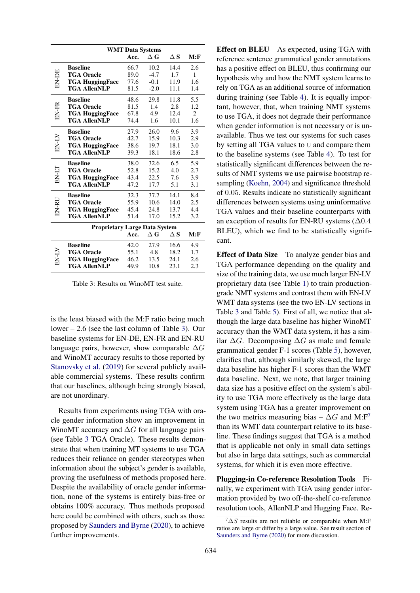<span id="page-5-0"></span>

|       | <b>WMT Data Systems</b>              |      |            |            |                |
|-------|--------------------------------------|------|------------|------------|----------------|
|       |                                      | Acc. | $\Delta G$ | $\Delta S$ | M: F           |
|       | <b>Baseline</b>                      | 66.7 | 10.2       | 14.4       | 2.6            |
| EN-DE | <b>TGA Oracle</b>                    | 89.0 | $-4.7$     | 1.7        | 1              |
|       | <b>TGA HuggingFace</b>               | 77.6 | $-0.1$     | 11.9       | 1.6            |
|       | <b>TGA AllenNLP</b>                  | 81.5 | $-2.0$     | 11.1       | 1.4            |
| EN-FR | <b>Baseline</b>                      | 48.6 | 29.8       | 11.8       | 5.5            |
|       | <b>TGA Oracle</b>                    | 81.5 | 1.4        | 2.8        | 1.2            |
|       | <b>TGA HuggingFace</b>               | 67.8 | 4.9        | 12.4       | $\overline{2}$ |
|       | <b>TGA AllenNLP</b>                  | 74.4 | 1.6        | 10.1       | 1.6            |
|       | <b>Baseline</b>                      | 27.9 | 26.0       | 9.6        | 3.9            |
|       | <b>TGA Oracle</b>                    | 42.7 | 15.9       | 10.3       | 2.9            |
|       | <b>TGA HuggingFace</b>               | 38.6 | 19.7       | 18.1       | 3.0            |
|       | <b>TGA AllenNLP</b>                  | 39.3 | 18.1       | 18.6       | 2.8            |
|       | <b>Baseline</b>                      | 38.0 | 32.6       | 6.5        | 5.9            |
|       | <b>TGA Oracle</b>                    | 52.8 | 15.2       | 4.0        | 2.7            |
| EN-LT | <b>TGA HuggingFace</b>               | 43.4 | 22.5       | 7.6        | 3.9            |
|       | <b>TGA AllenNLP</b>                  | 47.2 | 17.7       | 5.1        | 3.1            |
| EN-RI | <b>Baseline</b>                      | 32.3 | 37.7       | 14.1       | 8.4            |
|       | <b>TGA Oracle</b>                    | 55.9 | 10.6       | 14.0       | 2.5            |
|       | <b>TGA HuggingFace</b>               | 45.4 | 24.8       | 13.7       | 4.4            |
|       | <b>TGA AllenNLP</b>                  | 51.4 | 17.0       | 15.2       | 3.2            |
|       | <b>Proprietary Large Data System</b> |      |            |            |                |
|       |                                      | Acc. | $\Delta G$ | $\Delta$ S | M: F           |
|       | <b>Baseline</b>                      | 42.0 | 27.9       | 16.6       | 4.9            |
|       | <b>TGA Oracle</b>                    | 55.1 | 4.8        | 18.2       | 1.7            |
|       | <b>TGA HuggingFace</b>               | 46.2 | 13.5       | 24.1       | 2.6            |
|       | TGA AllenNLP                         | 49.9 | 10.8       | 23.1       | 2.3            |

Table 3: Results on WinoMT test suite.

is the least biased with the M:F ratio being much lower – 2.6 (see the last column of Table [3\)](#page-5-0). Our baseline systems for EN-DE, EN-FR and EN-RU language pairs, however, show comparable  $\Delta G$ and WinoMT accuracy results to those reported by [Stanovsky et al.](#page-8-4) [\(2019\)](#page-8-4) for several publicly available commercial systems. These results confirm that our baselines, although being strongly biased, are not unordinary.

Results from experiments using TGA with oracle gender information show an improvement in WinoMT accuracy and  $\Delta G$  for all language pairs (see Table [3](#page-5-0) TGA Oracle). These results demonstrate that when training MT systems to use TGA reduces their reliance on gender stereotypes when information about the subject's gender is available, proving the usefulness of methods proposed here. Despite the availability of oracle gender information, none of the systems is entirely bias-free or obtains 100% accuracy. Thus methods proposed here could be combined with others, such as those proposed by [Saunders and Byrne](#page-8-6) [\(2020\)](#page-8-6), to achieve further improvements.

Effect on BLEU As expected, using TGA with reference sentence grammatical gender annotations has a positive effect on BLEU, thus confirming our hypothesis why and how the NMT system learns to rely on TGA as an additional source of information during training (see Table [4\)](#page-6-2). It is equally important, however, that, when training NMT systems to use TGA, it does not degrade their performance when gender information is not necessary or is unavailable. Thus we test our systems for such cases by setting all TGA values to U and compare them to the baseline systems (see Table [4\)](#page-6-2). To test for statistically significant differences between the results of NMT systems we use pairwise bootstrap resampling [\(Koehn,](#page-7-22) [2004\)](#page-7-22) and significance threshold of 0.05. Results indicate no statistically significant differences between systems using uninformative TGA values and their baseline counterparts with an exception of results for EN-RU systems ( $\Delta$ 0.4 BLEU), which we find to be statistically significant.

Effect of Data Size To analyze gender bias and TGA performance depending on the quality and size of the training data, we use much larger EN-LV proprietary data (see Table [1\)](#page-3-0) to train productiongrade NMT systems and contrast them with EN-LV WMT data systems (see the two EN-LV sections in Table [3](#page-5-0) and Table [5\)](#page-6-3). First of all, we notice that although the large data baseline has higher WinoMT accuracy than the WMT data system, it has a similar  $\Delta G$ . Decomposing  $\Delta G$  as male and female grammatical gender F-1 scores (Table [5\)](#page-6-3), however, clarifies that, although similarly skewed, the large data baseline has higher F-1 scores than the WMT data baseline. Next, we note, that larger training data size has a positive effect on the system's ability to use TGA more effectively as the large data system using TGA has a greater improvement on the two metrics measuring bias –  $\Delta G$  and M:F<sup>[7](#page-5-1)</sup> than its WMT data counterpart relative to its baseline. These findings suggest that TGA is a method that is applicable not only in small data settings but also in large data settings, such as commercial systems, for which it is even more effective.

Plugging-in Co-reference Resolution Tools Finally, we experiment with TGA using gender information provided by two off-the-shelf co-reference resolution tools, AllenNLP and Hugging Face. Re-

<span id="page-5-1"></span> $\Delta S$  results are not reliable or comparable when M:F ratios are large or differ by a large value. See result section of [Saunders and Byrne](#page-8-6) [\(2020\)](#page-8-6) for more discussion.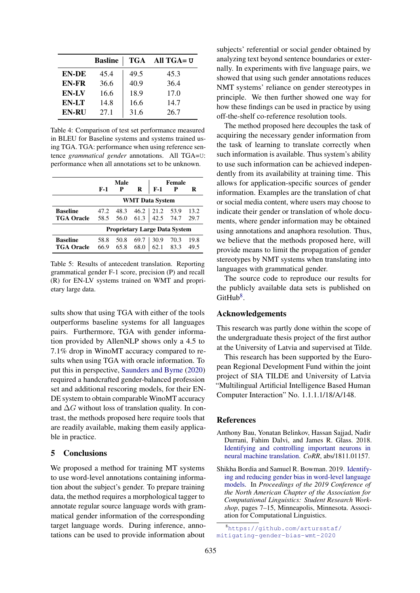<span id="page-6-2"></span>

|              | <b>Basline</b> |      | TGA All TGA= U |
|--------------|----------------|------|----------------|
| <b>EN-DE</b> | 45.4           | 49.5 | 45.3           |
| EN-FR        | 36.6           | 40.9 | 36.4           |
| <b>EN-LV</b> | 16.6           | 18.9 | 17.0           |
| EN-LT        | 14.8           | 16.6 | 14.7           |
| <b>EN-RU</b> | 27.1           | 31.6 | 26.7           |

Table 4: Comparison of test set performance measured in BLEU for Baseline systems and systems trained using TGA. TGA: performance when using reference sentence *grammatical gender* annotations. All TGA=U: performance when all annotations set to be unknown.

<span id="page-6-3"></span>

|                                      |                        | <b>Male</b>  |              |                            | Female       |              |
|--------------------------------------|------------------------|--------------|--------------|----------------------------|--------------|--------------|
|                                      | $F-1$                  | P            | R            | F-1                        | $\mathbf P$  | R            |
|                                      | <b>WMT Data System</b> |              |              |                            |              |              |
| <b>Baseline</b><br><b>TGA Oracle</b> | 47.2<br>58.5           | 48.3<br>56.0 | 61.3         | $46.2$   21.2<br>42.5 74.7 | 53.9         | 13.2<br>29.7 |
| <b>Proprietary Large Data System</b> |                        |              |              |                            |              |              |
| <b>Baseline</b><br><b>TGA Oracle</b> | 58.8<br>66.9           | 50.8<br>65.8 | 69.7<br>68.0 | 30.9<br>62.1               | 70.3<br>83.3 | 19.8<br>49.5 |

Table 5: Results of antecedent translation. Reporting grammatical gender F-1 score, precision (P) and recall (R) for EN-LV systems trained on WMT and proprietary large data.

sults show that using TGA with either of the tools outperforms baseline systems for all languages pairs. Furthermore, TGA with gender information provided by AllenNLP shows only a 4.5 to 7.1% drop in WinoMT accuracy compared to results when using TGA with oracle information. To put this in perspective, [Saunders and Byrne](#page-8-6) [\(2020\)](#page-8-6) required a handcrafted gender-balanced profession set and additional rescoring models, for their EN-DE system to obtain comparable WinoMT accuracy and  $\Delta G$  without loss of translation quality. In contrast, the methods proposed here require tools that are readily available, making them easily applicable in practice.

#### 5 Conclusions

We proposed a method for training MT systems to use word-level annotations containing information about the subject's gender. To prepare training data, the method requires a morphological tagger to annotate regular source language words with grammatical gender information of the corresponding target language words. During inference, annotations can be used to provide information about subjects' referential or social gender obtained by analyzing text beyond sentence boundaries or externally. In experiments with five language pairs, we showed that using such gender annotations reduces NMT systems' reliance on gender stereotypes in principle. We then further showed one way for how these findings can be used in practice by using off-the-shelf co-reference resolution tools.

The method proposed here decouples the task of acquiring the necessary gender information from the task of learning to translate correctly when such information is available. Thus system's ability to use such information can be achieved independently from its availability at training time. This allows for application-specific sources of gender information. Examples are the translation of chat or social media content, where users may choose to indicate their gender or translation of whole documents, where gender information may be obtained using annotations and anaphora resolution. Thus, we believe that the methods proposed here, will provide means to limit the propagation of gender stereotypes by NMT systems when translating into languages with grammatical gender.

The source code to reproduce our results for the publicly available data sets is published on  $G$ itHub<sup>[8](#page-6-4)</sup>.

#### Acknowledgements

This research was partly done within the scope of the undergraduate thesis project of the first author at the University of Latvia and supervised at Tilde.

This research has been supported by the European Regional Development Fund within the joint project of SIA TILDE and University of Latvia "Multilingual Artificial Intelligence Based Human Computer Interaction" No. 1.1.1.1/18/A/148.

#### References

- <span id="page-6-1"></span>Anthony Bau, Yonatan Belinkov, Hassan Sajjad, Nadir Durrani, Fahim Dalvi, and James R. Glass. 2018. [Identifying and controlling important neurons in](http://arxiv.org/abs/1811.01157) [neural machine translation.](http://arxiv.org/abs/1811.01157) *CoRR*, abs/1811.01157.
- <span id="page-6-0"></span>Shikha Bordia and Samuel R. Bowman. 2019. [Identify](https://doi.org/10.18653/v1/N19-3002)[ing and reducing gender bias in word-level language](https://doi.org/10.18653/v1/N19-3002) [models.](https://doi.org/10.18653/v1/N19-3002) In *Proceedings of the 2019 Conference of the North American Chapter of the Association for Computational Linguistics: Student Research Workshop*, pages 7–15, Minneapolis, Minnesota. Association for Computational Linguistics.

<span id="page-6-4"></span><sup>8</sup>[https://github.com/artursstaf/](https://github.com/artursstaf/mitigating-gender-bias-wmt-2020) [mitigating-gender-bias-wmt-2020](https://github.com/artursstaf/mitigating-gender-bias-wmt-2020)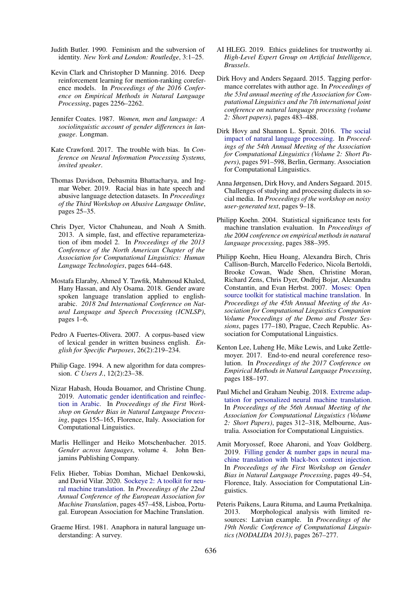- <span id="page-7-1"></span>Judith Butler. 1990. Feminism and the subversion of identity. *New York and London: Routledge*, 3:1–25.
- <span id="page-7-21"></span>Kevin Clark and Christopher D Manning. 2016. Deep reinforcement learning for mention-ranking coreference models. In *Proceedings of the 2016 Conference on Empirical Methods in Natural Language Processing*, pages 2256–2262.
- <span id="page-7-0"></span>Jennifer Coates. 1987. *Women, men and language: A sociolinguistic account of gender differences in language*. Longman.
- <span id="page-7-7"></span>Kate Crawford. 2017. The trouble with bias. In *Conference on Neural Information Processing Systems, invited speaker*.
- <span id="page-7-5"></span>Thomas Davidson, Debasmita Bhattacharya, and Ingmar Weber. 2019. Racial bias in hate speech and abusive language detection datasets. In *Proceedings of the Third Workshop on Abusive Language Online*, pages 25–35.
- <span id="page-7-19"></span>Chris Dyer, Victor Chahuneau, and Noah A Smith. 2013. A simple, fast, and effective reparameterization of ibm model 2. In *Proceedings of the 2013 Conference of the North American Chapter of the Association for Computational Linguistics: Human Language Technologies*, pages 644–648.
- <span id="page-7-11"></span>Mostafa Elaraby, Ahmed Y. Tawfik, Mahmoud Khaled, Hany Hassan, and Aly Osama. 2018. Gender aware spoken language translation applied to englisharabic. *2018 2nd International Conference on Natural Language and Speech Processing (ICNLSP)*, pages 1–6.
- <span id="page-7-2"></span>Pedro A Fuertes-Olivera. 2007. A corpus-based view of lexical gender in written business english. *English for Specific Purposes*, 26(2):219–234.
- <span id="page-7-16"></span>Philip Gage. 1994. A new algorithm for data compression. *C Users J.*, 12(2):23–38.
- <span id="page-7-9"></span>Nizar Habash, Houda Bouamor, and Christine Chung. 2019. [Automatic gender identification and reinflec](https://doi.org/10.18653/v1/W19-3822)[tion in Arabic.](https://doi.org/10.18653/v1/W19-3822) In *Proceedings of the First Workshop on Gender Bias in Natural Language Processing*, pages 155–165, Florence, Italy. Association for Computational Linguistics.
- <span id="page-7-13"></span>Marlis Hellinger and Heiko Motschenbacher. 2015. *Gender across languages*, volume 4. John Benjamins Publishing Company.
- <span id="page-7-17"></span>Felix Hieber, Tobias Domhan, Michael Denkowski, and David Vilar. 2020. [Sockeye 2: A toolkit for neu](https://www.aclweb.org/anthology/2020.eamt-1.50)[ral machine translation.](https://www.aclweb.org/anthology/2020.eamt-1.50) In *Proceedings of the 22nd Annual Conference of the European Association for Machine Translation*, pages 457–458, Lisboa, Portugal. European Association for Machine Translation.
- <span id="page-7-14"></span>Graeme Hirst. 1981. Anaphora in natural language understanding: A survey.
- <span id="page-7-8"></span>AI HLEG. 2019. Ethics guidelines for trustworthy ai. *High-Level Expert Group on Artificial Intelligence, Brussels*.
- <span id="page-7-4"></span>Dirk Hovy and Anders Søgaard. 2015. Tagging performance correlates with author age. In *Proceedings of the 53rd annual meeting of the Association for Computational Linguistics and the 7th international joint conference on natural language processing (volume 2: Short papers)*, pages 483–488.
- <span id="page-7-6"></span>Dirk Hovy and Shannon L. Spruit. 2016. [The social](https://doi.org/10.18653/v1/P16-2096) [impact of natural language processing.](https://doi.org/10.18653/v1/P16-2096) In *Proceedings of the 54th Annual Meeting of the Association for Computational Linguistics (Volume 2: Short Papers)*, pages 591–598, Berlin, Germany. Association for Computational Linguistics.
- <span id="page-7-3"></span>Anna Jørgensen, Dirk Hovy, and Anders Søgaard. 2015. Challenges of studying and processing dialects in social media. In *Proceedings of the workshop on noisy user-generated text*, pages 9–18.
- <span id="page-7-22"></span>Philipp Koehn. 2004. Statistical significance tests for machine translation evaluation. In *Proceedings of the 2004 conference on empirical methods in natural language processing*, pages 388–395.
- <span id="page-7-15"></span>Philipp Koehn, Hieu Hoang, Alexandra Birch, Chris Callison-Burch, Marcello Federico, Nicola Bertoldi, Brooke Cowan, Wade Shen, Christine Moran, Richard Zens, Chris Dyer, Ondřej Bojar, Alexandra Constantin, and Evan Herbst. 2007. [Moses: Open](https://www.aclweb.org/anthology/P07-2045) [source toolkit for statistical machine translation.](https://www.aclweb.org/anthology/P07-2045) In *Proceedings of the 45th Annual Meeting of the Association for Computational Linguistics Companion Volume Proceedings of the Demo and Poster Sessions*, pages 177–180, Prague, Czech Republic. Association for Computational Linguistics.
- <span id="page-7-20"></span>Kenton Lee, Luheng He, Mike Lewis, and Luke Zettlemoyer. 2017. End-to-end neural coreference resolution. In *Proceedings of the 2017 Conference on Empirical Methods in Natural Language Processing*, pages 188–197.
- <span id="page-7-10"></span>Paul Michel and Graham Neubig. 2018. [Extreme adap](https://doi.org/10.18653/v1/P18-2050)[tation for personalized neural machine translation.](https://doi.org/10.18653/v1/P18-2050) In *Proceedings of the 56th Annual Meeting of the Association for Computational Linguistics (Volume 2: Short Papers)*, pages 312–318, Melbourne, Australia. Association for Computational Linguistics.
- <span id="page-7-12"></span>Amit Moryossef, Roee Aharoni, and Yoav Goldberg. 2019. [Filling gender & number gaps in neural ma](https://doi.org/10.18653/v1/W19-3807)[chine translation with black-box context injection.](https://doi.org/10.18653/v1/W19-3807) In *Proceedings of the First Workshop on Gender Bias in Natural Language Processing*, pages 49–54, Florence, Italy. Association for Computational Linguistics.
- <span id="page-7-18"></span>Peteris Paikens, Laura Rituma, and Lauma Pretkalnina. 2013. Morphological analysis with limited resources: Latvian example. In *Proceedings of the 19th Nordic Conference of Computational Linguistics (NODALIDA 2013)*, pages 267–277.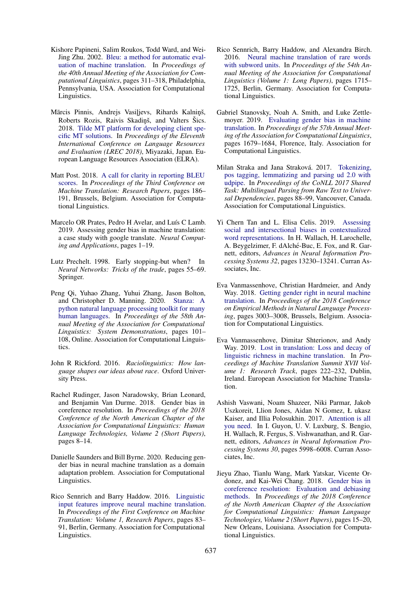- <span id="page-8-16"></span>Kishore Papineni, Salim Roukos, Todd Ward, and Wei-Jing Zhu. 2002. [Bleu: a method for automatic eval](https://doi.org/10.3115/1073083.1073135)[uation of machine translation.](https://doi.org/10.3115/1073083.1073135) In *Proceedings of the 40th Annual Meeting of the Association for Computational Linguistics*, pages 311–318, Philadelphia, Pennsylvania, USA. Association for Computational Linguistics.
- <span id="page-8-10"></span>Mārcis Pinnis, Andrejs Vasiljevs, Rihards Kalniņš, Roberts Rozis, Raivis Skadinš, and Valters Šics. 2018. [Tilde MT platform for developing client spe](https://www.aclweb.org/anthology/L18-1214)[cific MT solutions.](https://www.aclweb.org/anthology/L18-1214) In *Proceedings of the Eleventh International Conference on Language Resources and Evaluation (LREC 2018)*, Miyazaki, Japan. European Language Resources Association (ELRA).
- <span id="page-8-17"></span>Matt Post. 2018. [A call for clarity in reporting BLEU](https://doi.org/10.18653/v1/W18-6319) [scores.](https://doi.org/10.18653/v1/W18-6319) In *Proceedings of the Third Conference on Machine Translation: Research Papers*, pages 186– 191, Brussels, Belgium. Association for Computational Linguistics.
- <span id="page-8-1"></span>Marcelo OR Prates, Pedro H Avelar, and Luís C Lamb. 2019. Assessing gender bias in machine translation: a case study with google translate. *Neural Computing and Applications*, pages 1–19.
- <span id="page-8-13"></span>Lutz Prechelt. 1998. Early stopping-but when? In *Neural Networks: Tricks of the trade*, pages 55–69. Springer.
- <span id="page-8-14"></span>Peng Qi, Yuhao Zhang, Yuhui Zhang, Jason Bolton, and Christopher D. Manning. 2020. [Stanza: A](https://doi.org/10.18653/v1/2020.acl-demos.14) [python natural language processing toolkit for many](https://doi.org/10.18653/v1/2020.acl-demos.14) [human languages.](https://doi.org/10.18653/v1/2020.acl-demos.14) In *Proceedings of the 58th Annual Meeting of the Association for Computational Linguistics: System Demonstrations*, pages 101– 108, Online. Association for Computational Linguistics.
- <span id="page-8-0"></span>John R Rickford. 2016. *Raciolinguistics: How language shapes our ideas about race*. Oxford University Press.
- <span id="page-8-9"></span>Rachel Rudinger, Jason Naradowsky, Brian Leonard, and Benjamin Van Durme. 2018. Gender bias in coreference resolution. In *Proceedings of the 2018 Conference of the North American Chapter of the Association for Computational Linguistics: Human Language Technologies, Volume 2 (Short Papers)*, pages 8–14.
- <span id="page-8-6"></span>Danielle Saunders and Bill Byrne. 2020. Reducing gender bias in neural machine translation as a domain adaptation problem. Association for Computational Linguistics.
- <span id="page-8-8"></span>Rico Sennrich and Barry Haddow. 2016. [Linguistic](https://doi.org/10.18653/v1/W16-2209) [input features improve neural machine translation.](https://doi.org/10.18653/v1/W16-2209) In *Proceedings of the First Conference on Machine Translation: Volume 1, Research Papers*, pages 83– 91, Berlin, Germany. Association for Computational Linguistics.
- <span id="page-8-11"></span>Rico Sennrich, Barry Haddow, and Alexandra Birch. 2016. [Neural machine translation of rare words](https://doi.org/10.18653/v1/P16-1162) [with subword units.](https://doi.org/10.18653/v1/P16-1162) In *Proceedings of the 54th Annual Meeting of the Association for Computational Linguistics (Volume 1: Long Papers)*, pages 1715– 1725, Berlin, Germany. Association for Computational Linguistics.
- <span id="page-8-4"></span>Gabriel Stanovsky, Noah A. Smith, and Luke Zettlemoyer. 2019. [Evaluating gender bias in machine](https://doi.org/10.18653/v1/P19-1164) [translation.](https://doi.org/10.18653/v1/P19-1164) In *Proceedings of the 57th Annual Meeting of the Association for Computational Linguistics*, pages 1679–1684, Florence, Italy. Association for Computational Linguistics.
- <span id="page-8-15"></span>Milan Straka and Jana Straková. 2017. [Tokenizing,](http://www.aclweb.org/anthology/K/K17/K17-3009.pdf) [pos tagging, lemmatizing and parsing ud 2.0 with](http://www.aclweb.org/anthology/K/K17/K17-3009.pdf) [udpipe.](http://www.aclweb.org/anthology/K/K17/K17-3009.pdf) In *Proceedings of the CoNLL 2017 Shared Task: Multilingual Parsing from Raw Text to Universal Dependencies*, pages 88–99, Vancouver, Canada. Association for Computational Linguistics.
- <span id="page-8-3"></span>Yi Chern Tan and L. Elisa Celis. 2019. [Assessing](http://papers.nips.cc/paper/9479-assessing-social-and-intersectional-biases-in-contextualized-word-representations.pdf) [social and intersectional biases in contextualized](http://papers.nips.cc/paper/9479-assessing-social-and-intersectional-biases-in-contextualized-word-representations.pdf) [word representations.](http://papers.nips.cc/paper/9479-assessing-social-and-intersectional-biases-in-contextualized-word-representations.pdf) In H. Wallach, H. Larochelle, A. Beygelzimer, F. dAlché-Buc, E. Fox, and R. Garnett, editors, *Advances in Neural Information Processing Systems 32*, pages 13230–13241. Curran Associates, Inc.
- <span id="page-8-7"></span>Eva Vanmassenhove, Christian Hardmeier, and Andy Way. 2018. [Getting gender right in neural machine](https://doi.org/10.18653/v1/D18-1334) [translation.](https://doi.org/10.18653/v1/D18-1334) In *Proceedings of the 2018 Conference on Empirical Methods in Natural Language Processing*, pages 3003–3008, Brussels, Belgium. Association for Computational Linguistics.
- <span id="page-8-2"></span>Eva Vanmassenhove, Dimitar Shterionov, and Andy Way. 2019. [Lost in translation: Loss and decay of](https://www.aclweb.org/anthology/W19-6622) [linguistic richness in machine translation.](https://www.aclweb.org/anthology/W19-6622) In *Proceedings of Machine Translation Summit XVII Volume 1: Research Track*, pages 222–232, Dublin, Ireland. European Association for Machine Translation.
- <span id="page-8-12"></span>Ashish Vaswani, Noam Shazeer, Niki Parmar, Jakob Uszkoreit, Llion Jones, Aidan N Gomez, Ł ukasz Kaiser, and Illia Polosukhin. 2017. [Attention is all](http://papers.nips.cc/paper/7181-attention-is-all-you-need.pdf) [you need.](http://papers.nips.cc/paper/7181-attention-is-all-you-need.pdf) In I. Guyon, U. V. Luxburg, S. Bengio, H. Wallach, R. Fergus, S. Vishwanathan, and R. Garnett, editors, *Advances in Neural Information Processing Systems 30*, pages 5998–6008. Curran Associates, Inc.
- <span id="page-8-5"></span>Jieyu Zhao, Tianlu Wang, Mark Yatskar, Vicente Ordonez, and Kai-Wei Chang. 2018. [Gender bias in](https://doi.org/10.18653/v1/N18-2003) [coreference resolution: Evaluation and debiasing](https://doi.org/10.18653/v1/N18-2003) [methods.](https://doi.org/10.18653/v1/N18-2003) In *Proceedings of the 2018 Conference of the North American Chapter of the Association for Computational Linguistics: Human Language Technologies, Volume 2 (Short Papers)*, pages 15–20, New Orleans, Louisiana. Association for Computational Linguistics.